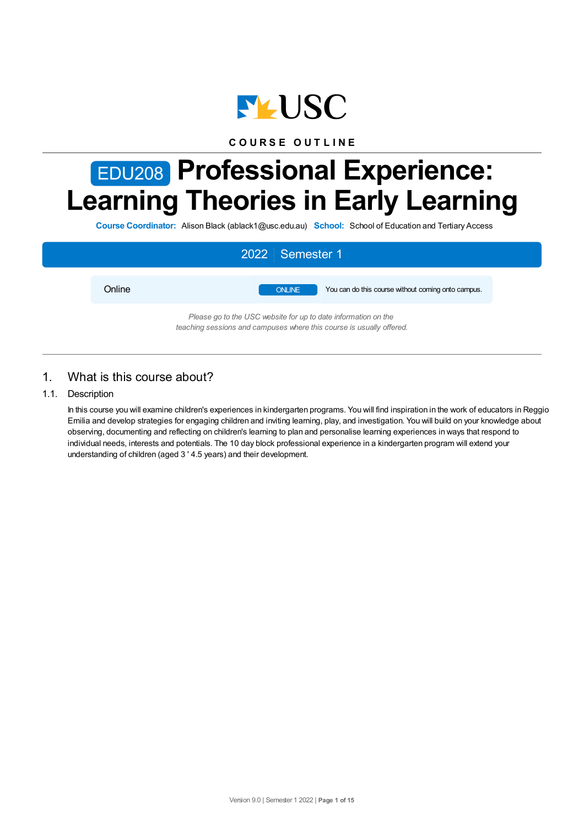

## **C O U R S E O U T L I N E**

# EDU208 **Professional Experience: Learning Theories in Early Learning**

**Course Coordinator:** Alison Black (ablack1@usc.edu.au) **School:** School of Education and Tertiary Access



## 1. What is this course about?

## 1.1. Description

In this course you will examine children's experiences in kindergarten programs. You will find inspiration in the work of educators in Reggio Emilia and develop strategies for engaging children and inviting learning, play, and investigation. You will build on your knowledge about observing, documenting and reflecting on children's learning to plan and personalise learning experiences in ways that respond to individual needs, interests and potentials. The 10 day block professional experience in a kindergarten program will extend your understanding of children (aged 3 ' 4.5 years) and their development.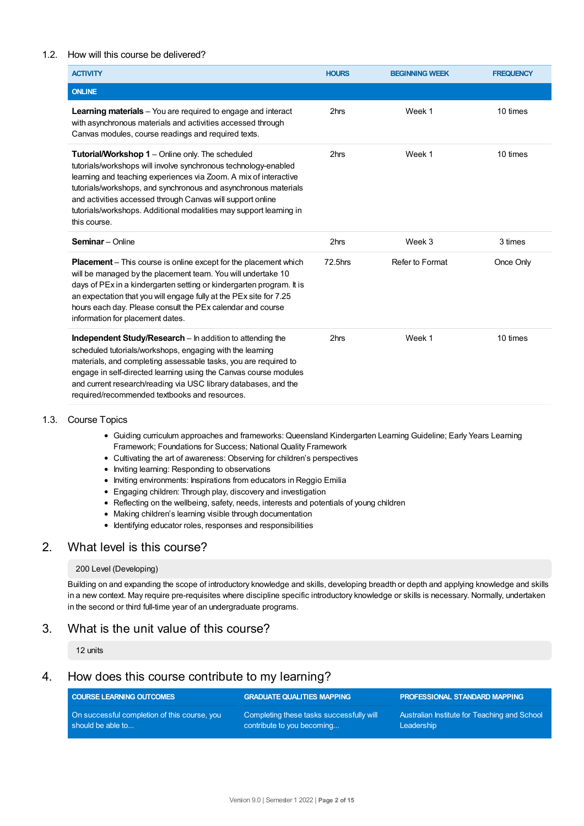## 1.2. How will this course be delivered?

| <b>ACTIVITY</b>                                                                                                                                                                                                                                                                                                                                                                                                | <b>HOURS</b> | <b>BEGINNING WEEK</b> | <b>FREQUENCY</b> |
|----------------------------------------------------------------------------------------------------------------------------------------------------------------------------------------------------------------------------------------------------------------------------------------------------------------------------------------------------------------------------------------------------------------|--------------|-----------------------|------------------|
| <b>ONLINE</b>                                                                                                                                                                                                                                                                                                                                                                                                  |              |                       |                  |
| <b>Learning materials</b> – You are required to engage and interact<br>with asynchronous materials and activities accessed through<br>Canvas modules, course readings and required texts.                                                                                                                                                                                                                      | 2hrs         | Week 1                | 10 times         |
| Tutorial/Workshop 1 - Online only. The scheduled<br>tutorials/workshops will involve synchronous technology-enabled<br>learning and teaching experiences via Zoom. A mix of interactive<br>tutorials/workshops, and synchronous and asynchronous materials<br>and activities accessed through Canvas will support online<br>tutorials/workshops. Additional modalities may support learning in<br>this course. | 2hrs         | Week 1                | 10 times         |
| <b>Seminar</b> - Online                                                                                                                                                                                                                                                                                                                                                                                        | 2hrs         | Week 3                | 3 times          |
| <b>Placement</b> – This course is online except for the placement which<br>will be managed by the placement team. You will undertake 10<br>days of PEx in a kindergarten setting or kindergarten program. It is<br>an expectation that you will engage fully at the PEx site for 7.25<br>hours each day. Please consult the PEx calendar and course<br>information for placement dates.                        | 72.5hrs      | Refer to Format       | Once Only        |
| <b>Independent Study/Research</b> – In addition to attending the<br>scheduled tutorials/workshops, engaging with the learning<br>materials, and completing assessable tasks, you are required to<br>engage in self-directed learning using the Canvas course modules<br>and current research/reading via USC library databases, and the<br>required/recommended textbooks and resources.                       | 2hrs         | Week 1                | 10 times         |

#### 1.3. Course Topics

- Guiding curriculum approaches and frameworks: Queensland Kindergarten Learning Guideline; Early Years Learning Framework; Foundations for Success; National Quality Framework
- Cultivating the art of awareness: Observing for children's perspectives
- Inviting learning: Responding to observations
- Inviting environments: Inspirations from educators in Reggio Emilia
- Engaging children: Through play, discovery and investigation
- Reflecting on the wellbeing, safety, needs, interests and potentials of young children
- Making children's learning visible through documentation
- $\bullet$  Identifying educator roles, responses and responsibilities

## 2. What level is this course?

#### 200 Level (Developing)

Building on and expanding the scope of introductory knowledge and skills, developing breadth or depth and applying knowledge and skills in a new context. May require pre-requisites where discipline specific introductory knowledge or skills is necessary. Normally, undertaken in the second or third full-time year of an undergraduate programs.

## 3. What is the unit value of this course?

12 units

## 4. How does this course contribute to my learning?

| <b>COURSE LEARNING OUTCOMES</b>              | <b>GRADUATE QUALITIES MAPPING</b>        | <b>PROFESSIONAL STANDARD MAPPING</b>         |
|----------------------------------------------|------------------------------------------|----------------------------------------------|
| On successful completion of this course, you | Completing these tasks successfully will | Australian Institute for Teaching and School |
| should be able to                            | contribute to you becoming               | Leadership                                   |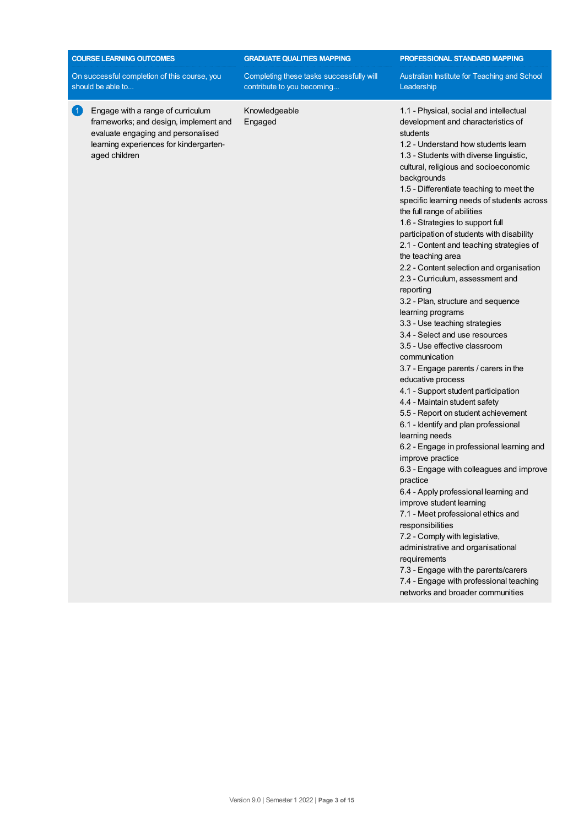| On successful completion of this course, you<br>Completing these tasks successfully will<br>contribute to you becoming<br>should be able to<br>$\vert$ 1<br>Engage with a range of curriculum<br>Knowledgeable<br>frameworks; and design, implement and<br>Engaged<br>evaluate engaging and personalised<br>learning experiences for kindergarten-<br>aged children | Australian Institute for Teaching and School<br>Leadership<br>1.1 - Physical, social and intellectual<br>development and characteristics of<br>students<br>1.2 - Understand how students learn<br>1.3 - Students with diverse linguistic,<br>cultural, religious and socioeconomic<br>backgrounds<br>1.5 - Differentiate teaching to meet the<br>specific learning needs of students across<br>the full range of abilities<br>1.6 - Strategies to support full<br>participation of students with disability<br>2.1 - Content and teaching strategies of<br>the teaching area<br>2.2 - Content selection and organisation<br>2.3 - Curriculum, assessment and<br>reporting<br>3.2 - Plan, structure and sequence<br>learning programs                                                                                          |
|---------------------------------------------------------------------------------------------------------------------------------------------------------------------------------------------------------------------------------------------------------------------------------------------------------------------------------------------------------------------|-------------------------------------------------------------------------------------------------------------------------------------------------------------------------------------------------------------------------------------------------------------------------------------------------------------------------------------------------------------------------------------------------------------------------------------------------------------------------------------------------------------------------------------------------------------------------------------------------------------------------------------------------------------------------------------------------------------------------------------------------------------------------------------------------------------------------------|
|                                                                                                                                                                                                                                                                                                                                                                     |                                                                                                                                                                                                                                                                                                                                                                                                                                                                                                                                                                                                                                                                                                                                                                                                                               |
|                                                                                                                                                                                                                                                                                                                                                                     | 3.3 - Use teaching strategies<br>3.4 - Select and use resources<br>3.5 - Use effective classroom<br>communication<br>3.7 - Engage parents / carers in the<br>educative process<br>4.1 - Support student participation<br>4.4 - Maintain student safety<br>5.5 - Report on student achievement<br>6.1 - Identify and plan professional<br>learning needs<br>6.2 - Engage in professional learning and<br>improve practice<br>6.3 - Engage with colleagues and improve<br>practice<br>6.4 - Apply professional learning and<br>improve student learning<br>7.1 - Meet professional ethics and<br>responsibilities<br>7.2 - Comply with legislative,<br>administrative and organisational<br>requirements<br>7.3 - Engage with the parents/carers<br>7.4 - Engage with professional teaching<br>networks and broader communities |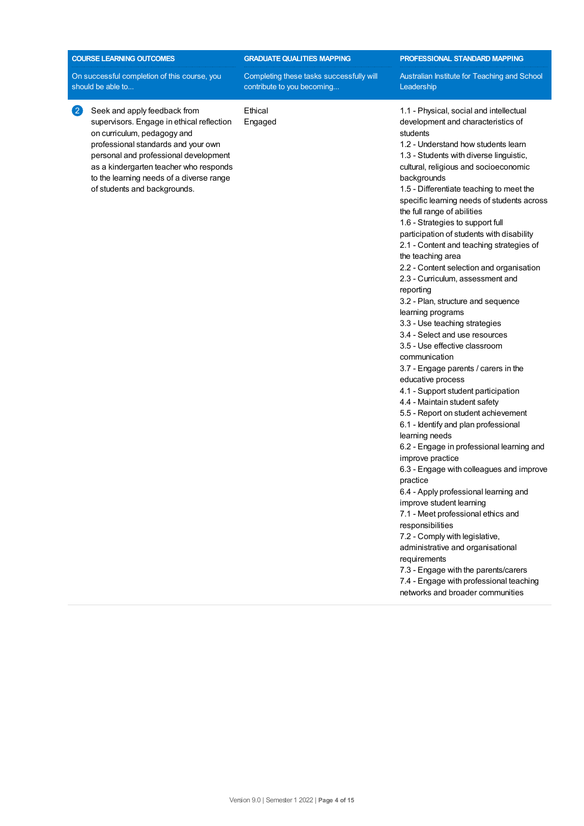| <b>COURSE LEARNING OUTCOMES</b>                                                                                                                                                                                                                                                                                                     | <b>GRADUATE QUALITIES MAPPING</b>                                      | PROFESSIONAL STANDARD MAPPING                                                                                                                                                                                                                                                                                                                                                                                                                                                                                                                                                                                                                                                                                                                                                                                                                                                                                                                                                                                                                                                                                                                                                                                                                                                                                                                                                                                                                                                                           |
|-------------------------------------------------------------------------------------------------------------------------------------------------------------------------------------------------------------------------------------------------------------------------------------------------------------------------------------|------------------------------------------------------------------------|---------------------------------------------------------------------------------------------------------------------------------------------------------------------------------------------------------------------------------------------------------------------------------------------------------------------------------------------------------------------------------------------------------------------------------------------------------------------------------------------------------------------------------------------------------------------------------------------------------------------------------------------------------------------------------------------------------------------------------------------------------------------------------------------------------------------------------------------------------------------------------------------------------------------------------------------------------------------------------------------------------------------------------------------------------------------------------------------------------------------------------------------------------------------------------------------------------------------------------------------------------------------------------------------------------------------------------------------------------------------------------------------------------------------------------------------------------------------------------------------------------|
| On successful completion of this course, you<br>should be able to                                                                                                                                                                                                                                                                   | Completing these tasks successfully will<br>contribute to you becoming | Australian Institute for Teaching and School<br>Leadership                                                                                                                                                                                                                                                                                                                                                                                                                                                                                                                                                                                                                                                                                                                                                                                                                                                                                                                                                                                                                                                                                                                                                                                                                                                                                                                                                                                                                                              |
| $\left( 2\right)$<br>Seek and apply feedback from<br>supervisors. Engage in ethical reflection<br>on curriculum, pedagogy and<br>professional standards and your own<br>personal and professional development<br>as a kindergarten teacher who responds<br>to the learning needs of a diverse range<br>of students and backgrounds. | Ethical<br>Engaged                                                     | 1.1 - Physical, social and intellectual<br>development and characteristics of<br>students<br>1.2 - Understand how students learn<br>1.3 - Students with diverse linguistic,<br>cultural, religious and socioeconomic<br>backgrounds<br>1.5 - Differentiate teaching to meet the<br>specific learning needs of students across<br>the full range of abilities<br>1.6 - Strategies to support full<br>participation of students with disability<br>2.1 - Content and teaching strategies of<br>the teaching area<br>2.2 - Content selection and organisation<br>2.3 - Curriculum, assessment and<br>reporting<br>3.2 - Plan, structure and sequence<br>learning programs<br>3.3 - Use teaching strategies<br>3.4 - Select and use resources<br>3.5 - Use effective classroom<br>communication<br>3.7 - Engage parents / carers in the<br>educative process<br>4.1 - Support student participation<br>4.4 - Maintain student safety<br>5.5 - Report on student achievement<br>6.1 - Identify and plan professional<br>learning needs<br>6.2 - Engage in professional learning and<br>improve practice<br>6.3 - Engage with colleagues and improve<br>practice<br>6.4 - Apply professional learning and<br>improve student learning<br>7.1 - Meet professional ethics and<br>responsibilities<br>7.2 - Comply with legislative,<br>administrative and organisational<br>requirements<br>7.3 - Engage with the parents/carers<br>7.4 - Engage with professional teaching<br>networks and broader communities |
|                                                                                                                                                                                                                                                                                                                                     |                                                                        |                                                                                                                                                                                                                                                                                                                                                                                                                                                                                                                                                                                                                                                                                                                                                                                                                                                                                                                                                                                                                                                                                                                                                                                                                                                                                                                                                                                                                                                                                                         |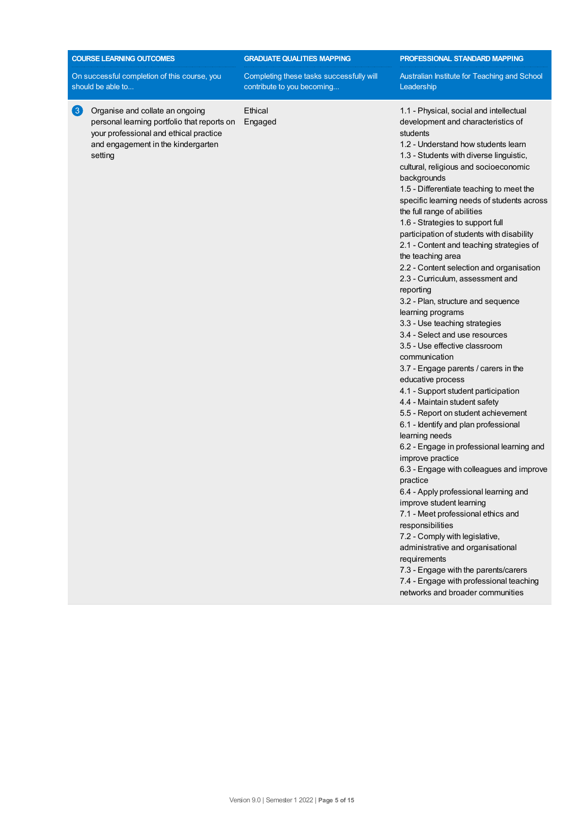| On successful completion of this course, you<br>Completing these tasks successfully will<br>Australian Institute for Teaching and School<br>contribute to you becoming<br>should be able to<br>Leadership<br>Ethical<br>$\left(3\right)$<br>Organise and collate an ongoing<br>1.1 - Physical, social and intellectual<br>personal learning portfolio that reports on<br>Engaged<br>development and characteristics of<br>your professional and ethical practice<br>students<br>and engagement in the kindergarten<br>1.2 - Understand how students learn<br>setting<br>1.3 - Students with diverse linguistic,<br>cultural, religious and socioeconomic<br>backgrounds<br>1.5 - Differentiate teaching to meet the<br>specific learning needs of students across<br>the full range of abilities<br>1.6 - Strategies to support full<br>participation of students with disability<br>2.1 - Content and teaching strategies of<br>the teaching area<br>2.2 - Content selection and organisation<br>2.3 - Curriculum, assessment and<br>reporting<br>3.2 - Plan, structure and sequence<br>learning programs<br>3.3 - Use teaching strategies<br>3.4 - Select and use resources<br>3.5 - Use effective classroom<br>communication<br>3.7 - Engage parents / carers in the<br>educative process<br>4.1 - Support student participation<br>4.4 - Maintain student safety<br>5.5 - Report on student achievement<br>6.1 - Identify and plan professional<br>learning needs<br>6.2 - Engage in professional learning and<br>improve practice<br>6.3 - Engage with colleagues and improve<br>practice<br>6.4 - Apply professional learning and<br>improve student learning<br>7.1 - Meet professional ethics and<br>responsibilities<br>7.2 - Comply with legislative,<br>administrative and organisational<br>requirements<br>7.3 - Engage with the parents/carers<br>7.4 - Engage with professional teaching<br>networks and broader communities | <b>COURSE LEARNING OUTCOMES</b> | <b>GRADUATE QUALITIES MAPPING</b> | PROFESSIONAL STANDARD MAPPING |
|---------------------------------------------------------------------------------------------------------------------------------------------------------------------------------------------------------------------------------------------------------------------------------------------------------------------------------------------------------------------------------------------------------------------------------------------------------------------------------------------------------------------------------------------------------------------------------------------------------------------------------------------------------------------------------------------------------------------------------------------------------------------------------------------------------------------------------------------------------------------------------------------------------------------------------------------------------------------------------------------------------------------------------------------------------------------------------------------------------------------------------------------------------------------------------------------------------------------------------------------------------------------------------------------------------------------------------------------------------------------------------------------------------------------------------------------------------------------------------------------------------------------------------------------------------------------------------------------------------------------------------------------------------------------------------------------------------------------------------------------------------------------------------------------------------------------------------------------------------------------------------------------------------------------------------------------|---------------------------------|-----------------------------------|-------------------------------|
|                                                                                                                                                                                                                                                                                                                                                                                                                                                                                                                                                                                                                                                                                                                                                                                                                                                                                                                                                                                                                                                                                                                                                                                                                                                                                                                                                                                                                                                                                                                                                                                                                                                                                                                                                                                                                                                                                                                                             |                                 |                                   |                               |
|                                                                                                                                                                                                                                                                                                                                                                                                                                                                                                                                                                                                                                                                                                                                                                                                                                                                                                                                                                                                                                                                                                                                                                                                                                                                                                                                                                                                                                                                                                                                                                                                                                                                                                                                                                                                                                                                                                                                             |                                 |                                   |                               |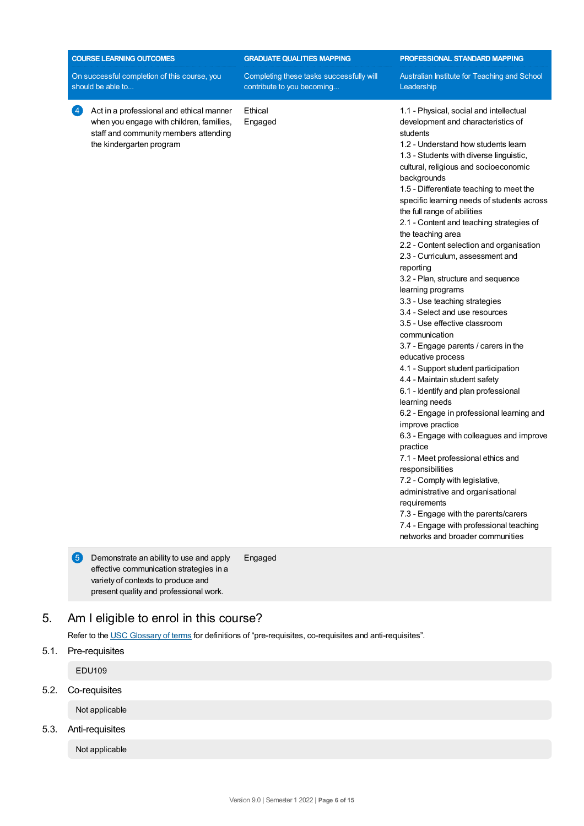| <b>COURSE LEARNING OUTCOMES</b>                                                                                                                                                     | <b>GRADUATE QUALITIES MAPPING</b>                                      | PROFESSIONAL STANDARD MAPPING                                                                                                                                                                                                                                                                                                                                                                                                                                                                                                                                                                                                                                                                                                                                                                                                                                                                                                                                                                                                                                                                                                                                                                                                                                                                              |
|-------------------------------------------------------------------------------------------------------------------------------------------------------------------------------------|------------------------------------------------------------------------|------------------------------------------------------------------------------------------------------------------------------------------------------------------------------------------------------------------------------------------------------------------------------------------------------------------------------------------------------------------------------------------------------------------------------------------------------------------------------------------------------------------------------------------------------------------------------------------------------------------------------------------------------------------------------------------------------------------------------------------------------------------------------------------------------------------------------------------------------------------------------------------------------------------------------------------------------------------------------------------------------------------------------------------------------------------------------------------------------------------------------------------------------------------------------------------------------------------------------------------------------------------------------------------------------------|
| On successful completion of this course, you<br>should be able to                                                                                                                   | Completing these tasks successfully will<br>contribute to you becoming | Australian Institute for Teaching and School<br>Leadership                                                                                                                                                                                                                                                                                                                                                                                                                                                                                                                                                                                                                                                                                                                                                                                                                                                                                                                                                                                                                                                                                                                                                                                                                                                 |
| $\left 4\right\rangle$<br>Act in a professional and ethical manner<br>when you engage with children, families,<br>staff and community members attending<br>the kindergarten program | Ethical<br>Engaged                                                     | 1.1 - Physical, social and intellectual<br>development and characteristics of<br>students<br>1.2 - Understand how students learn<br>1.3 - Students with diverse linguistic,<br>cultural, religious and socioeconomic<br>backgrounds<br>1.5 - Differentiate teaching to meet the<br>specific learning needs of students across<br>the full range of abilities<br>2.1 - Content and teaching strategies of<br>the teaching area<br>2.2 - Content selection and organisation<br>2.3 - Curriculum, assessment and<br>reporting<br>3.2 - Plan, structure and sequence<br>learning programs<br>3.3 - Use teaching strategies<br>3.4 - Select and use resources<br>3.5 - Use effective classroom<br>communication<br>3.7 - Engage parents / carers in the<br>educative process<br>4.1 - Support student participation<br>4.4 - Maintain student safety<br>6.1 - Identify and plan professional<br>learning needs<br>6.2 - Engage in professional learning and<br>improve practice<br>6.3 - Engage with colleagues and improve<br>practice<br>7.1 - Meet professional ethics and<br>responsibilities<br>7.2 - Comply with legislative,<br>administrative and organisational<br>requirements<br>7.3 - Engage with the parents/carers<br>7.4 - Engage with professional teaching<br>networks and broader communities |

## 5. Am Ieligible to enrol in this course?

Refer to the USC [Glossary](https://www.usc.edu.au/about/policies-and-procedures/glossary-of-terms-for-policy-and-procedures) of terms for definitions of "pre-requisites, co-requisites and anti-requisites".

5.1. Pre-requisites

EDU109

5.2. Co-requisites

Not applicable

5.3. Anti-requisites

Not applicable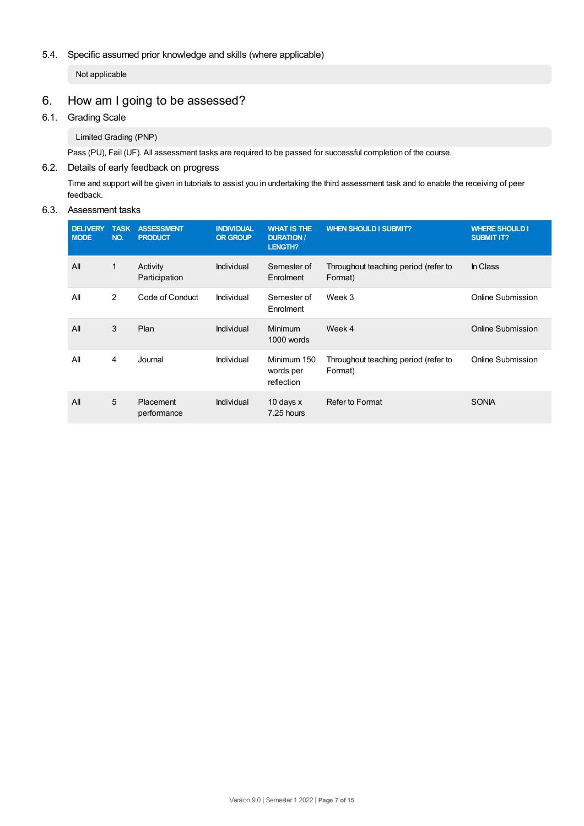## 5.4. Specific assumed prior knowledge and skills (where applicable)

Not applicable

## 6. How am Igoing to be assessed?

## 6.1. Grading Scale

Limited Grading (PNP)

Pass (PU), Fail (UF). All assessment tasks are required to be passed for successful completion of the course.

## 6.2. Details of early feedback on progress

Time and support will be given in tutorials to assist you in undertaking the third assessment task and to enable the receiving of peer feedback.

## 6.3. Assessment tasks

| <b>DELIVERY</b><br><b>MODE</b> | <b>TASK</b><br>NO. | <b>ASSESSMENT</b><br><b>PRODUCT</b> | <b>INDIVIDUAL</b><br><b>OR GROUP</b> | <b>WHAT IS THE</b><br><b>DURATION /</b><br><b>LENGTH?</b> | <b>WHEN SHOULD I SUBMIT?</b>                    | <b>WHERE SHOULD I</b><br><b>SUBMIT IT?</b> |
|--------------------------------|--------------------|-------------------------------------|--------------------------------------|-----------------------------------------------------------|-------------------------------------------------|--------------------------------------------|
| All                            | 1                  | Activity<br>Participation           | Individual                           | Semester of<br>Enrolment                                  | Throughout teaching period (refer to<br>Format) | In Class                                   |
| All                            | 2                  | Code of Conduct                     | Individual                           | Semester of<br>Enrolment                                  | Week 3                                          | Online Submission                          |
| All                            | 3                  | Plan                                | Individual                           | Minimum<br>1000 words                                     | Week 4                                          | <b>Online Submission</b>                   |
| All                            | 4                  | Journal                             | Individual                           | Minimum 150<br>words per<br>reflection                    | Throughout teaching period (refer to<br>Format) | Online Submission                          |
| All                            | 5                  | Placement<br>performance            | Individual                           | 10 days $x$<br>7.25 hours                                 | Refer to Format                                 | <b>SONIA</b>                               |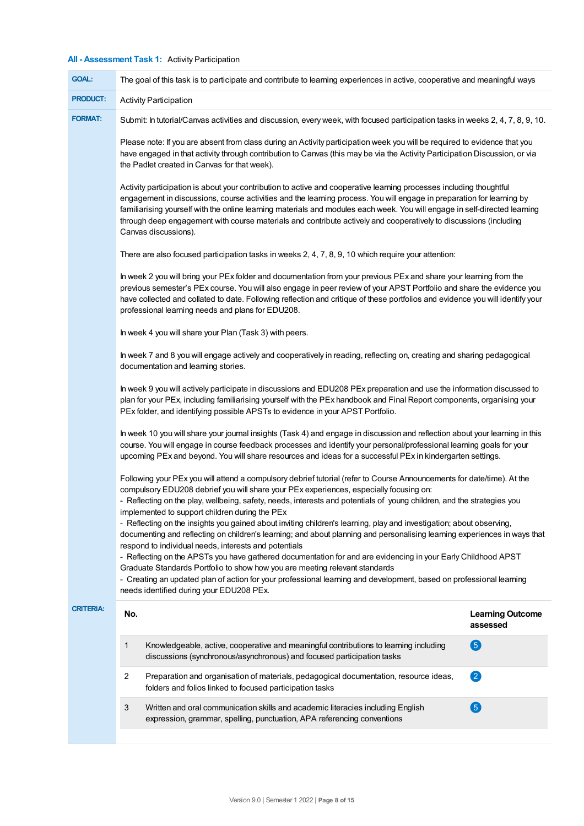## **All - Assessment Task 1:** Activity Participation

| <b>GOAL:</b>     | The goal of this task is to participate and contribute to learning experiences in active, cooperative and meaningful ways                                                                                                                                                                                                                                                                                                                                                                                               |                                     |  |  |
|------------------|-------------------------------------------------------------------------------------------------------------------------------------------------------------------------------------------------------------------------------------------------------------------------------------------------------------------------------------------------------------------------------------------------------------------------------------------------------------------------------------------------------------------------|-------------------------------------|--|--|
| <b>PRODUCT:</b>  | <b>Activity Participation</b>                                                                                                                                                                                                                                                                                                                                                                                                                                                                                           |                                     |  |  |
| <b>FORMAT:</b>   | Submit: In tutorial/Canvas activities and discussion, every week, with focused participation tasks in weeks 2, 4, 7, 8, 9, 10.                                                                                                                                                                                                                                                                                                                                                                                          |                                     |  |  |
|                  | Please note: If you are absent from class during an Activity participation week you will be required to evidence that you<br>have engaged in that activity through contribution to Canvas (this may be via the Activity Participation Discussion, or via<br>the Padlet created in Canvas for that week).                                                                                                                                                                                                                |                                     |  |  |
|                  | Activity participation is about your contribution to active and cooperative learning processes including thoughtful<br>engagement in discussions, course activities and the learning process. You will engage in preparation for learning by<br>familiarising yourself with the online learning materials and modules each week. You will engage in self-directed learning<br>through deep engagement with course materials and contribute actively and cooperatively to discussions (including<br>Canvas discussions). |                                     |  |  |
|                  | There are also focused participation tasks in weeks 2, 4, 7, 8, 9, 10 which require your attention:                                                                                                                                                                                                                                                                                                                                                                                                                     |                                     |  |  |
|                  | In week 2 you will bring your PEx folder and documentation from your previous PEx and share your learning from the<br>previous semester's PEx course. You will also engage in peer review of your APST Portfolio and share the evidence you<br>have collected and collated to date. Following reflection and critique of these portfolios and evidence you will identify your<br>professional learning needs and plans for EDU208.                                                                                      |                                     |  |  |
|                  | In week 4 you will share your Plan (Task 3) with peers.                                                                                                                                                                                                                                                                                                                                                                                                                                                                 |                                     |  |  |
|                  | In week 7 and 8 you will engage actively and cooperatively in reading, reflecting on, creating and sharing pedagogical                                                                                                                                                                                                                                                                                                                                                                                                  |                                     |  |  |
|                  | In week 9 you will actively participate in discussions and EDU208 PEx preparation and use the information discussed to<br>plan for your PEx, including familiarising yourself with the PEx handbook and Final Report components, organising your<br>PEx folder, and identifying possible APSTs to evidence in your APST Portfolio.                                                                                                                                                                                      |                                     |  |  |
|                  | In week 10 you will share your journal insights (Task 4) and engage in discussion and reflection about your learning in this<br>course. You will engage in course feedback processes and identify your personal/professional learning goals for your<br>upcoming PEx and beyond. You will share resources and ideas for a successful PEx in kindergarten settings.                                                                                                                                                      |                                     |  |  |
|                  | Following your PEx you will attend a compulsory debrief tutorial (refer to Course Announcements for date/time). At the<br>compulsory EDU208 debrief you will share your PEx experiences, especially focusing on:<br>- Reflecting on the play, wellbeing, safety, needs, interests and potentials of young children, and the strategies you                                                                                                                                                                              |                                     |  |  |
|                  | implemented to support children during the PEx                                                                                                                                                                                                                                                                                                                                                                                                                                                                          |                                     |  |  |
|                  | - Reflecting on the insights you gained about inviting children's learning, play and investigation; about observing,<br>documenting and reflecting on children's learning; and about planning and personalising learning experiences in ways that<br>respond to individual needs, interests and potentials                                                                                                                                                                                                              |                                     |  |  |
|                  | - Reflecting on the APSTs you have gathered documentation for and are evidencing in your Early Childhood APST<br>Graduate Standards Portfolio to show how you are meeting relevant standards                                                                                                                                                                                                                                                                                                                            |                                     |  |  |
|                  | - Creating an updated plan of action for your professional learning and development, based on professional learning<br>needs identified during your EDU208 PEx.                                                                                                                                                                                                                                                                                                                                                         |                                     |  |  |
| <b>CRITERIA:</b> | No.                                                                                                                                                                                                                                                                                                                                                                                                                                                                                                                     | <b>Learning Outcome</b><br>assessed |  |  |
|                  | 1<br>Knowledgeable, active, cooperative and meaningful contributions to learning including<br>discussions (synchronous/asynchronous) and focused participation tasks                                                                                                                                                                                                                                                                                                                                                    | 6                                   |  |  |
|                  | 2<br>Preparation and organisation of materials, pedagogical documentation, resource ideas,<br>folders and folios linked to focused participation tasks                                                                                                                                                                                                                                                                                                                                                                  | $\bullet$                           |  |  |
|                  | 3<br>Written and oral communication skills and academic literacies including English<br>expression, grammar, spelling, punctuation, APA referencing conventions                                                                                                                                                                                                                                                                                                                                                         | 6                                   |  |  |
|                  |                                                                                                                                                                                                                                                                                                                                                                                                                                                                                                                         |                                     |  |  |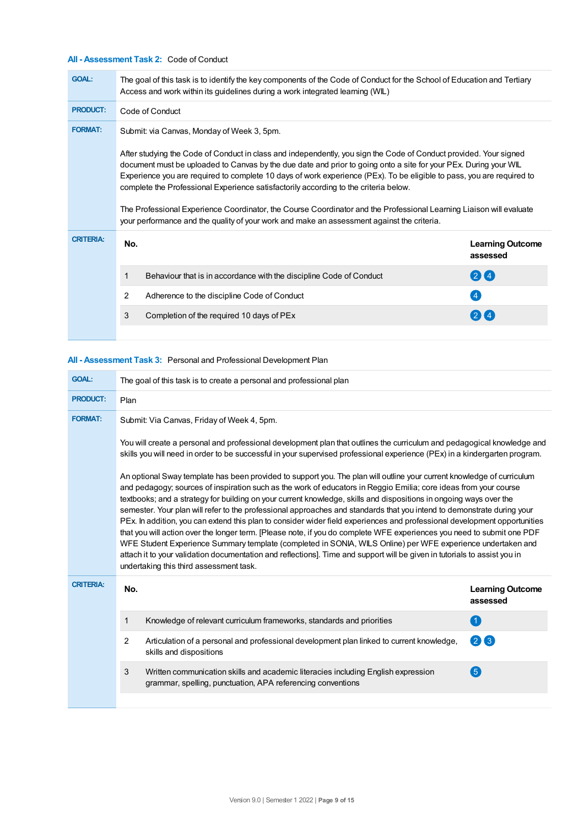## **All - Assessment Task 2:** Code of Conduct

| <b>GOAL:</b>     | The goal of this task is to identify the key components of the Code of Conduct for the School of Education and Tertiary<br>Access and work within its guidelines during a work integrated learning (WIL)                                                                                                                                                                                                                                                                                                                                                                                                                                                                    |                                                                     |                                     |  |  |
|------------------|-----------------------------------------------------------------------------------------------------------------------------------------------------------------------------------------------------------------------------------------------------------------------------------------------------------------------------------------------------------------------------------------------------------------------------------------------------------------------------------------------------------------------------------------------------------------------------------------------------------------------------------------------------------------------------|---------------------------------------------------------------------|-------------------------------------|--|--|
| <b>PRODUCT:</b>  | Code of Conduct                                                                                                                                                                                                                                                                                                                                                                                                                                                                                                                                                                                                                                                             |                                                                     |                                     |  |  |
| <b>FORMAT:</b>   | Submit: via Canvas, Monday of Week 3, 5pm.                                                                                                                                                                                                                                                                                                                                                                                                                                                                                                                                                                                                                                  |                                                                     |                                     |  |  |
|                  | After studying the Code of Conduct in class and independently, you sign the Code of Conduct provided. Your signed<br>document must be uploaded to Canvas by the due date and prior to going onto a site for your PEx. During your WIL<br>Experience you are required to complete 10 days of work experience (PEx). To be eligible to pass, you are required to<br>complete the Professional Experience satisfactorily according to the criteria below.<br>The Professional Experience Coordinator, the Course Coordinator and the Professional Learning Liaison will evaluate<br>your performance and the quality of your work and make an assessment against the criteria. |                                                                     |                                     |  |  |
| <b>CRITERIA:</b> | No.                                                                                                                                                                                                                                                                                                                                                                                                                                                                                                                                                                                                                                                                         |                                                                     | <b>Learning Outcome</b><br>assessed |  |  |
|                  | 1                                                                                                                                                                                                                                                                                                                                                                                                                                                                                                                                                                                                                                                                           | Behaviour that is in accordance with the discipline Code of Conduct | 24                                  |  |  |
|                  | 2                                                                                                                                                                                                                                                                                                                                                                                                                                                                                                                                                                                                                                                                           | Adherence to the discipline Code of Conduct                         | $\frac{1}{4}$                       |  |  |
|                  | 3                                                                                                                                                                                                                                                                                                                                                                                                                                                                                                                                                                                                                                                                           | Completion of the required 10 days of PEx                           |                                     |  |  |
|                  |                                                                                                                                                                                                                                                                                                                                                                                                                                                                                                                                                                                                                                                                             |                                                                     |                                     |  |  |

## **All - Assessment Task 3:** Personal and Professional Development Plan

| <b>GOAL:</b>     | The goal of this task is to create a personal and professional plan |                                                                                                                                                                                                                                                                                                                                                                                                                                                                                                                                                                                                                                                                                                                                                                                                                                                                                                                                                                                                                                          |                                     |
|------------------|---------------------------------------------------------------------|------------------------------------------------------------------------------------------------------------------------------------------------------------------------------------------------------------------------------------------------------------------------------------------------------------------------------------------------------------------------------------------------------------------------------------------------------------------------------------------------------------------------------------------------------------------------------------------------------------------------------------------------------------------------------------------------------------------------------------------------------------------------------------------------------------------------------------------------------------------------------------------------------------------------------------------------------------------------------------------------------------------------------------------|-------------------------------------|
| <b>PRODUCT:</b>  | Plan                                                                |                                                                                                                                                                                                                                                                                                                                                                                                                                                                                                                                                                                                                                                                                                                                                                                                                                                                                                                                                                                                                                          |                                     |
| <b>FORMAT:</b>   | Submit: Via Canvas, Friday of Week 4, 5pm.                          |                                                                                                                                                                                                                                                                                                                                                                                                                                                                                                                                                                                                                                                                                                                                                                                                                                                                                                                                                                                                                                          |                                     |
|                  |                                                                     | You will create a personal and professional development plan that outlines the curriculum and pedagogical knowledge and<br>skills you will need in order to be successful in your supervised professional experience (PEx) in a kindergarten program.                                                                                                                                                                                                                                                                                                                                                                                                                                                                                                                                                                                                                                                                                                                                                                                    |                                     |
|                  |                                                                     | An optional Sway template has been provided to support you. The plan will outline your current knowledge of curriculum<br>and pedagogy; sources of inspiration such as the work of educators in Reggio Emilia; core ideas from your course<br>textbooks; and a strategy for building on your current knowledge, skills and dispositions in ongoing ways over the<br>semester. Your plan will refer to the professional approaches and standards that you intend to demonstrate during your<br>PEx. In addition, you can extend this plan to consider wider field experiences and professional development opportunities<br>that you will action over the longer term. [Please note, if you do complete WFE experiences you need to submit one PDF<br>WFE Student Experience Summary template (completed in SONIA, WILS Online) per WFE experience undertaken and<br>attach it to your validation documentation and reflections]. Time and support will be given in tutorials to assist you in<br>undertaking this third assessment task. |                                     |
| <b>CRITERIA:</b> | No.                                                                 |                                                                                                                                                                                                                                                                                                                                                                                                                                                                                                                                                                                                                                                                                                                                                                                                                                                                                                                                                                                                                                          | <b>Learning Outcome</b><br>assessed |
|                  | 1                                                                   | Knowledge of relevant curriculum frameworks, standards and priorities                                                                                                                                                                                                                                                                                                                                                                                                                                                                                                                                                                                                                                                                                                                                                                                                                                                                                                                                                                    | $\left( 1\right)$                   |
|                  | 2                                                                   | Articulation of a personal and professional development plan linked to current knowledge,<br>skills and dispositions                                                                                                                                                                                                                                                                                                                                                                                                                                                                                                                                                                                                                                                                                                                                                                                                                                                                                                                     | $(2)$ $(3)$                         |
|                  | 3                                                                   | Written communication skills and academic literacies including English expression<br>grammar, spelling, punctuation, APA referencing conventions                                                                                                                                                                                                                                                                                                                                                                                                                                                                                                                                                                                                                                                                                                                                                                                                                                                                                         | $\left( 5\right)$                   |
|                  |                                                                     |                                                                                                                                                                                                                                                                                                                                                                                                                                                                                                                                                                                                                                                                                                                                                                                                                                                                                                                                                                                                                                          |                                     |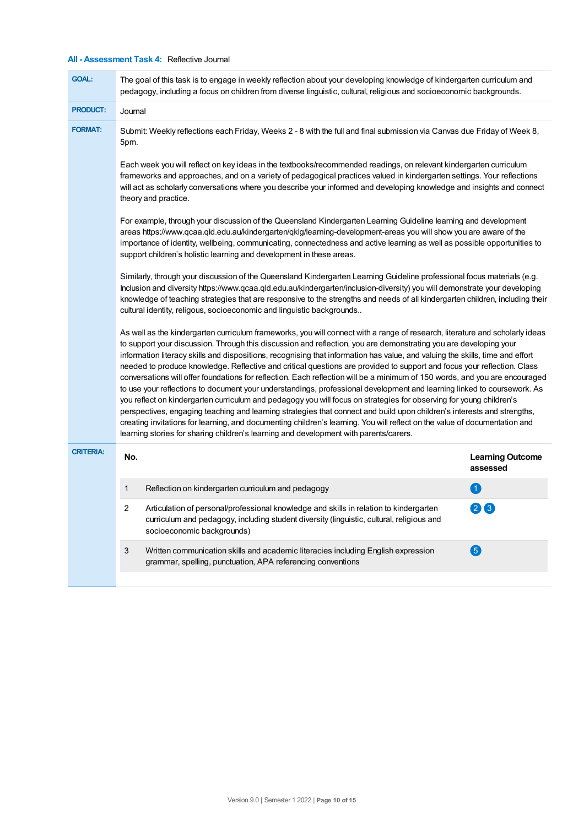## **All - Assessment Task 4:** Reflective Journal

| <b>GOAL:</b>     |         | The goal of this task is to engage in weekly reflection about your developing knowledge of kindergarten curriculum and<br>pedagogy, including a focus on children from diverse linguistic, cultural, religious and socioeconomic backgrounds.                                                                                                                                                                                                                                                                                                                                                                                                                                                                                                                                                                                                                                                                                                                                                                                                                                                                                                                                                                                                    |                                     |  |  |  |
|------------------|---------|--------------------------------------------------------------------------------------------------------------------------------------------------------------------------------------------------------------------------------------------------------------------------------------------------------------------------------------------------------------------------------------------------------------------------------------------------------------------------------------------------------------------------------------------------------------------------------------------------------------------------------------------------------------------------------------------------------------------------------------------------------------------------------------------------------------------------------------------------------------------------------------------------------------------------------------------------------------------------------------------------------------------------------------------------------------------------------------------------------------------------------------------------------------------------------------------------------------------------------------------------|-------------------------------------|--|--|--|
| <b>PRODUCT:</b>  | Journal |                                                                                                                                                                                                                                                                                                                                                                                                                                                                                                                                                                                                                                                                                                                                                                                                                                                                                                                                                                                                                                                                                                                                                                                                                                                  |                                     |  |  |  |
| <b>FORMAT:</b>   | 5pm.    | Submit: Weekly reflections each Friday, Weeks 2 - 8 with the full and final submission via Canvas due Friday of Week 8,                                                                                                                                                                                                                                                                                                                                                                                                                                                                                                                                                                                                                                                                                                                                                                                                                                                                                                                                                                                                                                                                                                                          |                                     |  |  |  |
|                  |         | Each week you will reflect on key ideas in the textbooks/recommended readings, on relevant kindergarten curriculum<br>frameworks and approaches, and on a variety of pedagogical practices valued in kindergarten settings. Your reflections<br>will act as scholarly conversations where you describe your informed and developing knowledge and insights and connect<br>theory and practice.                                                                                                                                                                                                                                                                                                                                                                                                                                                                                                                                                                                                                                                                                                                                                                                                                                                   |                                     |  |  |  |
|                  |         | For example, through your discussion of the Queensland Kindergarten Learning Guideline learning and development<br>areas https://www.qcaa.qld.edu.au/kindergarten/qklg/learning-development-areas you will show you are aware of the<br>importance of identity, wellbeing, communicating, connectedness and active learning as well as possible opportunities to<br>support children's holistic learning and development in these areas.                                                                                                                                                                                                                                                                                                                                                                                                                                                                                                                                                                                                                                                                                                                                                                                                         |                                     |  |  |  |
|                  |         | Similarly, through your discussion of the Queensland Kindergarten Learning Guideline professional focus materials (e.g.<br>Inclusion and diversity https://www.qcaa.qld.edu.au/kindergarten/inclusion-diversity) you will demonstrate your developing<br>knowledge of teaching strategies that are responsive to the strengths and needs of all kindergarten children, including their<br>cultural identity, religous, socioeconomic and linguistic backgrounds                                                                                                                                                                                                                                                                                                                                                                                                                                                                                                                                                                                                                                                                                                                                                                                  |                                     |  |  |  |
|                  |         | As well as the kindergarten curriculum frameworks, you will connect with a range of research, literature and scholarly ideas<br>to support your discussion. Through this discussion and reflection, you are demonstrating you are developing your<br>information literacy skills and dispositions, recognising that information has value, and valuing the skills, time and effort<br>needed to produce knowledge. Reflective and critical questions are provided to support and focus your reflection. Class<br>conversations will offer foundations for reflection. Each reflection will be a minimum of 150 words, and you are encouraged<br>to use your reflections to document your understandings, professional development and learning linked to coursework. As<br>you reflect on kindergarten curriculum and pedagogy you will focus on strategies for observing for young children's<br>perspectives, engaging teaching and learning strategies that connect and build upon children's interests and strengths,<br>creating invitations for learning, and documenting children's learning. You will reflect on the value of documentation and<br>learning stories for sharing children's learning and development with parents/carers. |                                     |  |  |  |
| <b>CRITERIA:</b> | No.     |                                                                                                                                                                                                                                                                                                                                                                                                                                                                                                                                                                                                                                                                                                                                                                                                                                                                                                                                                                                                                                                                                                                                                                                                                                                  | <b>Learning Outcome</b><br>assessed |  |  |  |
|                  | 1       | Reflection on kindergarten curriculum and pedagogy                                                                                                                                                                                                                                                                                                                                                                                                                                                                                                                                                                                                                                                                                                                                                                                                                                                                                                                                                                                                                                                                                                                                                                                               | $\left( 1 \right)$                  |  |  |  |
|                  | 2       | Articulation of personal/professional knowledge and skills in relation to kindergarten<br>curriculum and pedagogy, including student diversity (linguistic, cultural, religious and<br>socioeconomic backgrounds)                                                                                                                                                                                                                                                                                                                                                                                                                                                                                                                                                                                                                                                                                                                                                                                                                                                                                                                                                                                                                                | $\mathbf{2}$<br>$\left(3\right)$    |  |  |  |
|                  | 3       | Written communication skills and academic literacies including English expression<br>grammar, spelling, punctuation, APA referencing conventions                                                                                                                                                                                                                                                                                                                                                                                                                                                                                                                                                                                                                                                                                                                                                                                                                                                                                                                                                                                                                                                                                                 | 6                                   |  |  |  |
|                  |         |                                                                                                                                                                                                                                                                                                                                                                                                                                                                                                                                                                                                                                                                                                                                                                                                                                                                                                                                                                                                                                                                                                                                                                                                                                                  |                                     |  |  |  |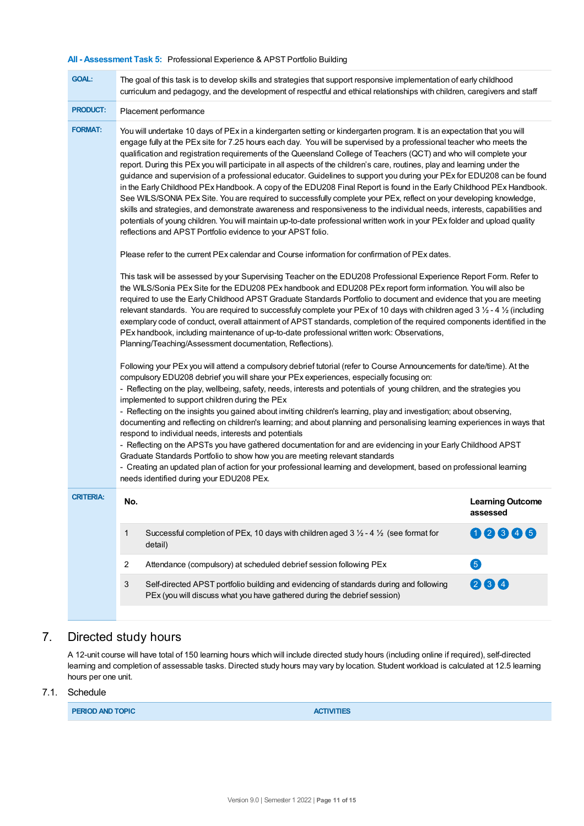## **All - Assessment Task 5:** Professional Experience & APST Portfolio Building

| <b>GOAL:</b>                                                                                                                                                                                                                                                                                                                                                                                                                                                                                                                                                                                                                                                                                                                                                                                                                                                                                                                                                                                                                                                                                                                                                                                                          | The goal of this task is to develop skills and strategies that support responsive implementation of early childhood<br>curriculum and pedagogy, and the development of respectful and ethical relationships with children, caregivers and staff                                                                                                                                                                                                                                                                                                                                                                                                                                                                                                                                  |                                     |  |
|-----------------------------------------------------------------------------------------------------------------------------------------------------------------------------------------------------------------------------------------------------------------------------------------------------------------------------------------------------------------------------------------------------------------------------------------------------------------------------------------------------------------------------------------------------------------------------------------------------------------------------------------------------------------------------------------------------------------------------------------------------------------------------------------------------------------------------------------------------------------------------------------------------------------------------------------------------------------------------------------------------------------------------------------------------------------------------------------------------------------------------------------------------------------------------------------------------------------------|----------------------------------------------------------------------------------------------------------------------------------------------------------------------------------------------------------------------------------------------------------------------------------------------------------------------------------------------------------------------------------------------------------------------------------------------------------------------------------------------------------------------------------------------------------------------------------------------------------------------------------------------------------------------------------------------------------------------------------------------------------------------------------|-------------------------------------|--|
| <b>PRODUCT:</b>                                                                                                                                                                                                                                                                                                                                                                                                                                                                                                                                                                                                                                                                                                                                                                                                                                                                                                                                                                                                                                                                                                                                                                                                       | Placement performance                                                                                                                                                                                                                                                                                                                                                                                                                                                                                                                                                                                                                                                                                                                                                            |                                     |  |
| <b>FORMAT:</b><br>You will undertake 10 days of PEx in a kindergarten setting or kindergarten program. It is an expectation that you will<br>engage fully at the PEx site for 7.25 hours each day. You will be supervised by a professional teacher who meets the<br>qualification and registration requirements of the Queensland College of Teachers (QCT) and who will complete your<br>report. During this PEx you will participate in all aspects of the children's care, routines, play and learning under the<br>guidance and supervision of a professional educator. Guidelines to support you during your PEx for EDU208 can be found<br>in the Early Childhood PEx Handbook. A copy of the EDU208 Final Report is found in the Early Childhood PEx Handbook.<br>See WILS/SONIA PEx Site. You are required to successfully complete your PEx, reflect on your developing knowledge,<br>skills and strategies, and demonstrate awareness and responsiveness to the individual needs, interests, capabilities and<br>potentials of young children. You will maintain up-to-date professional written work in your PEx folder and upload quality<br>reflections and APST Portfolio evidence to your APST folio. |                                                                                                                                                                                                                                                                                                                                                                                                                                                                                                                                                                                                                                                                                                                                                                                  |                                     |  |
|                                                                                                                                                                                                                                                                                                                                                                                                                                                                                                                                                                                                                                                                                                                                                                                                                                                                                                                                                                                                                                                                                                                                                                                                                       | Please refer to the current PEx calendar and Course information for confirmation of PEx dates.                                                                                                                                                                                                                                                                                                                                                                                                                                                                                                                                                                                                                                                                                   |                                     |  |
|                                                                                                                                                                                                                                                                                                                                                                                                                                                                                                                                                                                                                                                                                                                                                                                                                                                                                                                                                                                                                                                                                                                                                                                                                       | This task will be assessed by your Supervising Teacher on the EDU208 Professional Experience Report Form. Refer to<br>the WILS/Sonia PEx Site for the EDU208 PEx handbook and EDU208 PEx report form information. You will also be<br>required to use the Early Childhood APST Graduate Standards Portfolio to document and evidence that you are meeting<br>relevant standards. You are required to successfuly complete your PEx of 10 days with children aged 3 1/2 - 4 1/2 (including<br>exemplary code of conduct, overall attainment of APST standards, completion of the required components identified in the<br>PEx handbook, including maintenance of up-to-date professional written work: Observations,<br>Planning/Teaching/Assessment documentation, Reflections). |                                     |  |
|                                                                                                                                                                                                                                                                                                                                                                                                                                                                                                                                                                                                                                                                                                                                                                                                                                                                                                                                                                                                                                                                                                                                                                                                                       | Following your PEx you will attend a compulsory debrief tutorial (refer to Course Announcements for date/time). At the<br>compulsory EDU208 debrief you will share your PEx experiences, especially focusing on:<br>- Reflecting on the play, wellbeing, safety, needs, interests and potentials of young children, and the strategies you<br>implemented to support children during the PEx                                                                                                                                                                                                                                                                                                                                                                                     |                                     |  |
|                                                                                                                                                                                                                                                                                                                                                                                                                                                                                                                                                                                                                                                                                                                                                                                                                                                                                                                                                                                                                                                                                                                                                                                                                       | - Reflecting on the insights you gained about inviting children's learning, play and investigation; about observing,<br>documenting and reflecting on children's learning; and about planning and personalising learning experiences in ways that<br>respond to individual needs, interests and potentials<br>- Reflecting on the APSTs you have gathered documentation for and are evidencing in your Early Childhood APST                                                                                                                                                                                                                                                                                                                                                      |                                     |  |
|                                                                                                                                                                                                                                                                                                                                                                                                                                                                                                                                                                                                                                                                                                                                                                                                                                                                                                                                                                                                                                                                                                                                                                                                                       | Graduate Standards Portfolio to show how you are meeting relevant standards<br>- Creating an updated plan of action for your professional learning and development, based on professional learning<br>needs identified during your EDU208 PEx.                                                                                                                                                                                                                                                                                                                                                                                                                                                                                                                                   |                                     |  |
| <b>CRITERIA:</b>                                                                                                                                                                                                                                                                                                                                                                                                                                                                                                                                                                                                                                                                                                                                                                                                                                                                                                                                                                                                                                                                                                                                                                                                      | No.                                                                                                                                                                                                                                                                                                                                                                                                                                                                                                                                                                                                                                                                                                                                                                              | <b>Learning Outcome</b><br>assessed |  |
|                                                                                                                                                                                                                                                                                                                                                                                                                                                                                                                                                                                                                                                                                                                                                                                                                                                                                                                                                                                                                                                                                                                                                                                                                       | $\mathbf{1}$<br>Successful completion of PEx, 10 days with children aged $3\frac{1}{2}$ - 4 $\frac{1}{2}$ (see format for<br>detail)                                                                                                                                                                                                                                                                                                                                                                                                                                                                                                                                                                                                                                             | 02345                               |  |
|                                                                                                                                                                                                                                                                                                                                                                                                                                                                                                                                                                                                                                                                                                                                                                                                                                                                                                                                                                                                                                                                                                                                                                                                                       | $\overline{c}$<br>Attendance (compulsory) at scheduled debrief session following PEx                                                                                                                                                                                                                                                                                                                                                                                                                                                                                                                                                                                                                                                                                             | 6                                   |  |
|                                                                                                                                                                                                                                                                                                                                                                                                                                                                                                                                                                                                                                                                                                                                                                                                                                                                                                                                                                                                                                                                                                                                                                                                                       | 3<br>Self-directed APST portfolio building and evidencing of standards during and following<br>PEx (you will discuss what you have gathered during the debrief session)                                                                                                                                                                                                                                                                                                                                                                                                                                                                                                                                                                                                          | 28<br>$\left( 4\right)$             |  |

## 7. Directed study hours

A 12-unit course will have total of 150 learning hours which will include directed study hours (including online if required), self-directed learning and completion of assessable tasks. Directed study hours may vary by location. Student workload is calculated at 12.5 learning hours per one unit.

## 7.1. Schedule

**PERIOD AND TOPIC AND AND ACTIVITIES**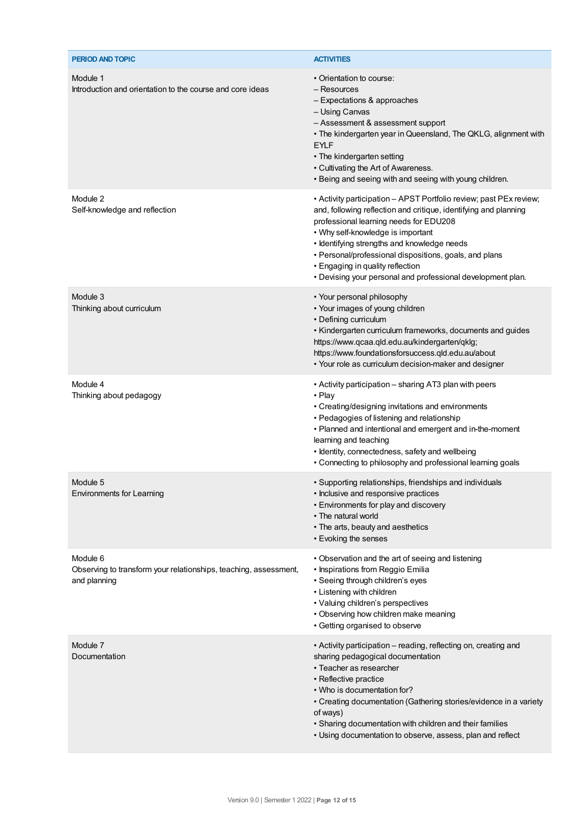| PERIOD AND TOPIC                                                                             | <b>ACTIVITIES</b>                                                                                                                                                                                                                                                                                                                                                                                                                 |
|----------------------------------------------------------------------------------------------|-----------------------------------------------------------------------------------------------------------------------------------------------------------------------------------------------------------------------------------------------------------------------------------------------------------------------------------------------------------------------------------------------------------------------------------|
| Module 1<br>Introduction and orientation to the course and core ideas                        | • Orientation to course:<br>– Resources<br>- Expectations & approaches<br>- Using Canvas<br>- Assessment & assessment support<br>• The kindergarten year in Queensland, The QKLG, alignment with<br><b>EYLF</b><br>• The kindergarten setting<br>• Cultivating the Art of Awareness.<br>. Being and seeing with and seeing with young children.                                                                                   |
| Module 2<br>Self-knowledge and reflection                                                    | • Activity participation - APST Portfolio review; past PEx review;<br>and, following reflection and critique, identifying and planning<br>professional learning needs for EDU208<br>• Why self-knowledge is important<br>· Identifying strengths and knowledge needs<br>• Personal/professional dispositions, goals, and plans<br>• Engaging in quality reflection<br>. Devising your personal and professional development plan. |
| Module 3<br>Thinking about curriculum                                                        | • Your personal philosophy<br>• Your images of young children<br>• Defining curriculum<br>• Kindergarten curriculum frameworks, documents and guides<br>https://www.qcaa.qld.edu.au/kindergarten/qklg;<br>https://www.foundationsforsuccess.qld.edu.au/about<br>• Your role as curriculum decision-maker and designer                                                                                                             |
| Module 4<br>Thinking about pedagogy                                                          | • Activity participation – sharing AT3 plan with peers<br>• Play<br>• Creating/designing invitations and environments<br>• Pedagogies of listening and relationship<br>• Planned and intentional and emergent and in-the-moment<br>learning and teaching<br>• Identity, connectedness, safety and wellbeing<br>• Connecting to philosophy and professional learning goals                                                         |
| Module 5<br><b>Environments for Learning</b>                                                 | • Supporting relationships, friendships and individuals<br>• Inclusive and responsive practices<br>• Environments for play and discovery<br>• The natural world<br>• The arts, beauty and aesthetics<br>• Evoking the senses                                                                                                                                                                                                      |
| Module 6<br>Observing to transform your relationships, teaching, assessment,<br>and planning | • Observation and the art of seeing and listening<br>• Inspirations from Reggio Emilia<br>• Seeing through children's eyes<br>• Listening with children<br>• Valuing children's perspectives<br>• Observing how children make meaning<br>• Getting organised to observe                                                                                                                                                           |
| Module 7<br>Documentation                                                                    | • Activity participation – reading, reflecting on, creating and<br>sharing pedagogical documentation<br>• Teacher as researcher<br>• Reflective practice<br>• Who is documentation for?<br>• Creating documentation (Gathering stories/evidence in a variety<br>of ways)<br>• Sharing documentation with children and their families<br>• Using documentation to observe, assess, plan and reflect                                |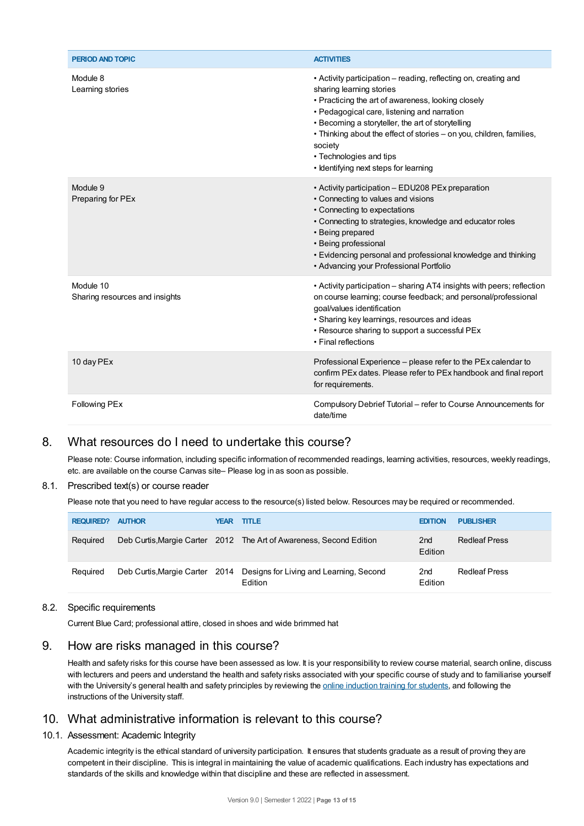| PERIOD AND TOPIC                            | <b>ACTIVITIES</b>                                                                                                                                                                                                                                                                                                                                                                                            |
|---------------------------------------------|--------------------------------------------------------------------------------------------------------------------------------------------------------------------------------------------------------------------------------------------------------------------------------------------------------------------------------------------------------------------------------------------------------------|
| Module 8<br>Learning stories                | • Activity participation – reading, reflecting on, creating and<br>sharing learning stories<br>• Practicing the art of awareness, looking closely<br>• Pedagogical care, listening and narration<br>• Becoming a storyteller, the art of storytelling<br>· Thinking about the effect of stories - on you, children, families,<br>society<br>• Technologies and tips<br>• Identifying next steps for learning |
| Module 9<br>Preparing for PEx               | • Activity participation - EDU208 PEx preparation<br>• Connecting to values and visions<br>• Connecting to expectations<br>• Connecting to strategies, knowledge and educator roles<br>• Being prepared<br>• Being professional<br>• Evidencing personal and professional knowledge and thinking<br>• Advancing your Professional Portfolio                                                                  |
| Module 10<br>Sharing resources and insights | • Activity participation – sharing AT4 insights with peers; reflection<br>on course learning; course feedback; and personal/professional<br>goal/values identification<br>· Sharing key learnings, resources and ideas<br>• Resource sharing to support a successful PEx<br>• Final reflections                                                                                                              |
| 10 day PEx                                  | Professional Experience – please refer to the PEx calendar to<br>confirm PEx dates. Please refer to PEx handbook and final report<br>for requirements.                                                                                                                                                                                                                                                       |
| <b>Following PEx</b>                        | Compulsory Debrief Tutorial – refer to Course Announcements for<br>date/time                                                                                                                                                                                                                                                                                                                                 |

## 8. What resources do I need to undertake this course?

Please note: Course information, including specific information of recommended readings, learning activities, resources, weekly readings, etc. are available on the course Canvas site– Please log in as soon as possible.

### 8.1. Prescribed text(s) or course reader

Please note that you need to have regular access to the resource(s) listed below. Resources may be required or recommended.

| <b>REQUIRED?</b> | <b>AUTHOR</b> | <b>YEAR TITLE</b>                                                                 | <b>EDITION</b>             | <b>PUBLISHER</b>     |
|------------------|---------------|-----------------------------------------------------------------------------------|----------------------------|----------------------|
| Required         |               | Deb Curtis, Margie Carter 2012 The Art of Awareness, Second Edition               | 2 <sub>nd</sub><br>Edition | <b>Redleaf Press</b> |
| Required         |               | Deb Curtis, Margie Carter 2014 Designs for Living and Learning, Second<br>Edition | 2 <sub>nd</sub><br>Edition | <b>Redleaf Press</b> |

#### 8.2. Specific requirements

Current Blue Card; professional attire, closed in shoes and wide brimmed hat

## 9. How are risks managed in this course?

Health and safety risks for this course have been assessed as low. It is your responsibility to review course material, search online, discuss with lecturers and peers and understand the health and safety risks associated with your specific course of study and to familiarise yourself with the University's general health and safety principles by reviewing the online [induction](https://online.usc.edu.au/webapps/blackboard/content/listContentEditable.jsp?content_id=_632657_1&course_id=_14432_1) training for students, and following the instructions of the University staff.

## 10. What administrative information is relevant to this course?

#### 10.1. Assessment: Academic Integrity

Academic integrity is the ethical standard of university participation. It ensures that students graduate as a result of proving they are competent in their discipline. This is integral in maintaining the value of academic qualifications. Each industry has expectations and standards of the skills and knowledge within that discipline and these are reflected in assessment.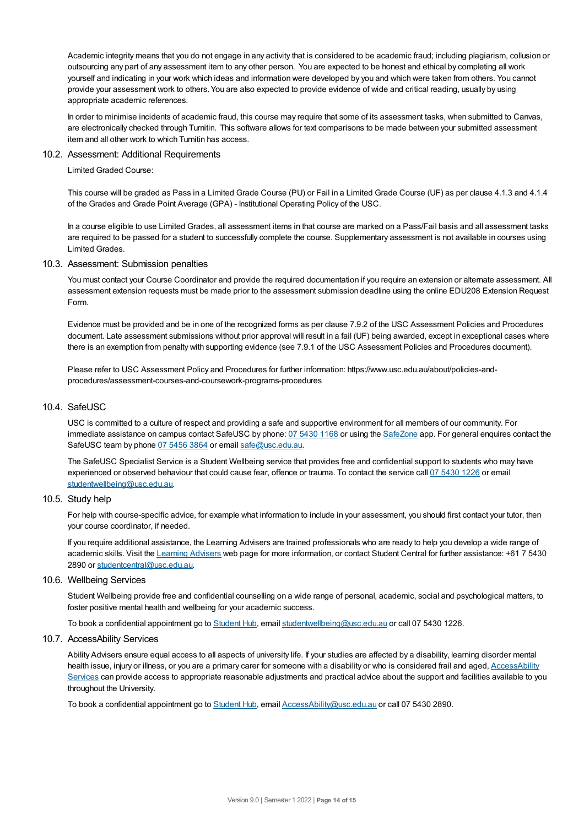Academic integrity means that you do not engage in any activity that is considered to be academic fraud; including plagiarism, collusion or outsourcing any part of any assessment item to any other person. You are expected to be honest and ethical by completing all work yourself and indicating in your work which ideas and information were developed by you and which were taken from others. You cannot provide your assessment work to others.You are also expected to provide evidence of wide and critical reading, usually by using appropriate academic references.

In order to minimise incidents of academic fraud, this course may require that some of its assessment tasks, when submitted to Canvas, are electronically checked through Turnitin. This software allows for text comparisons to be made between your submitted assessment item and all other work to which Turnitin has access.

#### 10.2. Assessment: Additional Requirements

Limited Graded Course:

This course will be graded as Pass in a Limited Grade Course (PU) or Fail in a Limited Grade Course (UF) as per clause 4.1.3 and 4.1.4 of the Grades and Grade Point Average (GPA) - Institutional Operating Policy of the USC.

In a course eligible to use Limited Grades, all assessment items in that course are marked on a Pass/Fail basis and all assessment tasks are required to be passed for a student to successfully complete the course. Supplementary assessment is not available in courses using Limited Grades.

#### 10.3. Assessment: Submission penalties

You must contact your Course Coordinator and provide the required documentation if you require an extension or alternate assessment. All assessment extension requests must be made prior to the assessment submission deadline using the online EDU208 Extension Request Form.

Evidence must be provided and be in one of the recognized forms as per clause 7.9.2 of the USC Assessment Policies and Procedures document. Late assessment submissions without prior approval will result in a fail (UF) being awarded, except in exceptional cases where there is an exemption from penalty with supporting evidence (see 7.9.1 of the USC Assessment Policies and Procedures document).

Please refer to USC Assessment Policy and Procedures for further information: https://www.usc.edu.au/about/policies-andprocedures/assessment-courses-and-coursework-programs-procedures

#### 10.4. SafeUSC

USC is committed to a culture of respect and providing a safe and supportive environment for all members of our community. For immediate assistance on campus contact SafeUSC by phone: 07 [5430](tel:07%205430%201168) 1168 or using the [SafeZone](https://www.safezoneapp.com) app. For general enquires contact the SafeUSC team by phone 07 [5456](tel:07%205456%203864) 3864 or email [safe@usc.edu.au](mailto:safe@usc.edu.au).

The SafeUSC Specialist Service is a Student Wellbeing service that provides free and confidential support to students who may have experienced or observed behaviour that could cause fear, offence or trauma. To contact the service call 07 [5430](tel:07%205430%201226) 1226 or email [studentwellbeing@usc.edu.au](mailto:studentwellbeing@usc.edu.au).

### 10.5. Study help

For help with course-specific advice, for example what information to include in your assessment, you should first contact your tutor, then your course coordinator, if needed.

If you require additional assistance, the Learning Advisers are trained professionals who are ready to help you develop a wide range of academic skills. Visit the Learning [Advisers](https://www.usc.edu.au/current-students/student-support/academic-and-study-support/learning-advisers) web page for more information, or contact Student Central for further assistance: +61 7 5430 2890 or [studentcentral@usc.edu.au](mailto:studentcentral@usc.edu.au).

#### 10.6. Wellbeing Services

Student Wellbeing provide free and confidential counselling on a wide range of personal, academic, social and psychological matters, to foster positive mental health and wellbeing for your academic success.

To book a confidential appointment go to [Student](https://studenthub.usc.edu.au/) Hub, email [studentwellbeing@usc.edu.au](mailto:studentwellbeing@usc.edu.au) or call 07 5430 1226.

## 10.7. AccessAbility Services

Ability Advisers ensure equal access to all aspects of university life. If your studies are affected by a disability, learning disorder mental health issue, injury or illness, or you are a primary carer for someone with a disability or who is considered frail and aged, [AccessAbility](https://www.usc.edu.au/learn/student-support/accessability-services/documentation-requirements) Services can provide access to appropriate reasonable adjustments and practical advice about the support and facilities available to you throughout the University.

To book a confidential appointment go to [Student](https://studenthub.usc.edu.au/) Hub, email [AccessAbility@usc.edu.au](mailto:AccessAbility@usc.edu.au) or call 07 5430 2890.